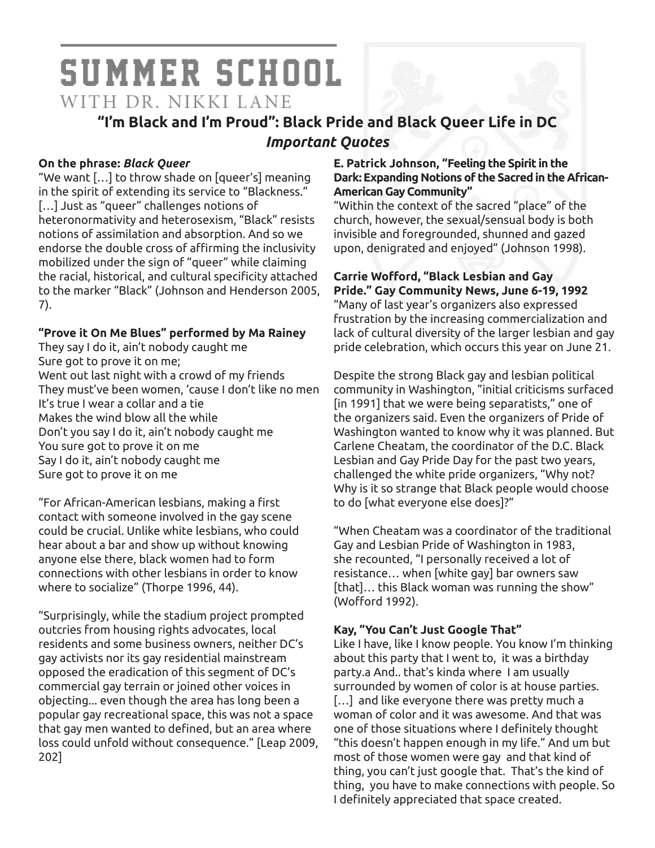# **SUMMER SCHOOL** WITH DR. NIKKI LANE

## **"I'm Black and I'm Proud": Black Pride and Black Queer Life in DC** *Important Quotes*

#### **On the phrase:** *Black Queer*

"We want […] to throw shade on [queer's] meaning in the spirit of extending its service to "Blackness." [...] Just as "queer" challenges notions of heteronormativity and heterosexism, "Black" resists notions of assimilation and absorption. And so we endorse the double cross of affirming the inclusivity mobilized under the sign of "queer" while claiming the racial, historical, and cultural specificity attached to the marker "Black" (Johnson and Henderson 2005, 7).

#### **"Prove it On Me Blues" performed by Ma Rainey**

They say I do it, ain't nobody caught me Sure got to prove it on me; Went out last night with a crowd of my friends They must've been women, 'cause I don't like no men It's true I wear a collar and a tie Makes the wind blow all the while Don't you say I do it, ain't nobody caught me You sure got to prove it on me Say I do it, ain't nobody caught me Sure got to prove it on me

"For African-American lesbians, making a first contact with someone involved in the gay scene could be crucial. Unlike white lesbians, who could hear about a bar and show up without knowing anyone else there, black women had to form connections with other lesbians in order to know where to socialize" (Thorpe 1996, 44).

"Surprisingly, while the stadium project prompted outcries from housing rights advocates, local residents and some business owners, neither DC's gay activists nor its gay residential mainstream opposed the eradication of this segment of DC's commercial gay terrain or joined other voices in objecting... even though the area has long been a popular gay recreational space, this was not a space that gay men wanted to defined, but an area where loss could unfold without consequence." [Leap 2009, 202]

#### **E. Patrick Johnson, "Feeling the Spirit in the Dark: Expanding Notions of the Sacred in the African-American Gay Community"**

"Within the context of the sacred "place" of the church, however, the sexual/sensual body is both invisible and foregrounded, shunned and gazed upon, denigrated and enjoyed" (Johnson 1998).

#### **Carrie Wofford, "Black Lesbian and Gay Pride." Gay Community News, June 6-19, 1992**

"Many of last year's organizers also expressed frustration by the increasing commercialization and lack of cultural diversity of the larger lesbian and gay pride celebration, which occurs this year on June 21.

Despite the strong Black gay and lesbian political community in Washington, "initial criticisms surfaced [in 1991] that we were being separatists," one of the organizers said. Even the organizers of Pride of Washington wanted to know why it was planned. But Carlene Cheatam, the coordinator of the D.C. Black Lesbian and Gay Pride Day for the past two years, challenged the white pride organizers, "Why not? Why is it so strange that Black people would choose to do [what everyone else does]?"

"When Cheatam was a coordinator of the traditional Gay and Lesbian Pride of Washington in 1983, she recounted, "I personally received a lot of resistance… when [white gay] bar owners saw [that]… this Black woman was running the show" (Wofford 1992).

## **Kay, "You Can't Just Google That"**

Like I have, like I know people. You know I'm thinking about this party that I went to, it was a birthday party.a And.. that's kinda where I am usually surrounded by women of color is at house parties. [...] and like everyone there was pretty much a woman of color and it was awesome. And that was one of those situations where I definitely thought "this doesn't happen enough in my life." And um but most of those women were gay and that kind of thing, you can't just google that. That's the kind of thing, you have to make connections with people. So I definitely appreciated that space created.